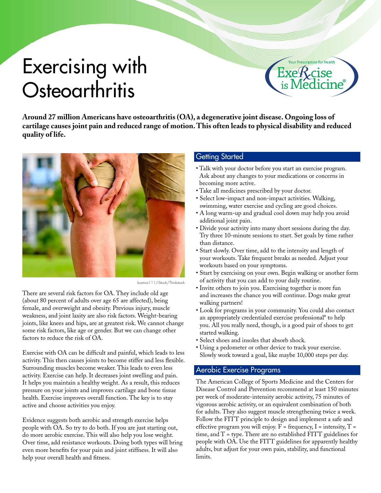# Exercising with **Osteoarthritis**

Prescription for Health

**Around 27 million Americans have osteoarthritis (OA), a degenerative joint disease. Ongoing loss of cartilage causes joint pain and reduced range of motion. This often leads to physical disability and reduced quality of life.**



kosmos111/iStock/Thinkstock

There are several risk factors for OA. They include old age (about 80 percent of adults over age 65 are affected), being female, and overweight and obesity. Previous injury, muscle weakness, and joint laxity are also risk factors. Weight-bearing joints, like knees and hips, are at greatest risk. We cannot change some risk factors, like age or gender. But we can change other factors to reduce the risk of OA.

Exercise with OA can be difficult and painful, which leads to less activity. This then causes joints to become stiffer and less flexible. Surrounding muscles become weaker. This leads to even less activity. Exercise can help. It decreases joint swelling and pain. It helps you maintain a healthy weight. As a result, this reduces pressure on your joints and improves cartilage and bone tissue health. Exercise improves overall function. The key is to stay active and choose activities you enjoy.

Evidence suggests both aerobic and strength exercise helps people with OA. So try to do both. If you are just starting out, do more aerobic exercise. This will also help you lose weight. Over time, add resistance workouts. Doing both types will bring even more benefits for your pain and joint stiffness. It will also help your overall health and fitness.

#### Getting Started

- Talk with your doctor before you start an exercise program. Ask about any changes to your medications or concerns in becoming more active.
- Take all medicines prescribed by your doctor.
- Select low-impact and non-impact activities. Walking, swimming, water exercise and cycling are good choices.
- A long warm-up and gradual cool down may help you avoid additional joint pain.
- Divide your activity into many short sessions during the day. Try three 10-minute sessions to start. Set goals by time rather than distance.
- Start slowly. Over time, add to the intensity and length of your workouts. Take frequent breaks as needed. Adjust your workouts based on your symptoms.
- Start by exercising on your own. Begin walking or another form of activity that you can add to your daily routine.
- Invite others to join you. Exercising together is more fun and increases the chance you will continue. Dogs make great walking partners!
- Look for programs in your community. You could also contact an appropriately credentialed exercise professional\* to help you. All you really need, though, is a good pair of shoes to get started walking.
- Select shoes and insoles that absorb shock.
- Using a pedometer or other device to track your exercise. Slowly work toward a goal, like maybe 10,000 steps per day.

#### Aerobic Exercise Programs

The American College of Sports Medicine and the Centers for Disease Control and Prevention recommend at least 150 minutes per week of moderate-intensity aerobic activity, 75 minutes of vigorous aerobic activity, or an equivalent combination of both for adults. They also suggest muscle strengthening twice a week. Follow the FITT principle to design and implement a safe and effective program you will enjoy.  $F = \text{frequency}, I = \text{intensity}, T =$ time, and T = type. There are no established FITT guidelines for people with OA. Use the FITT guidelines for apparently healthy adults, but adjust for your own pain, stability, and functional limits.